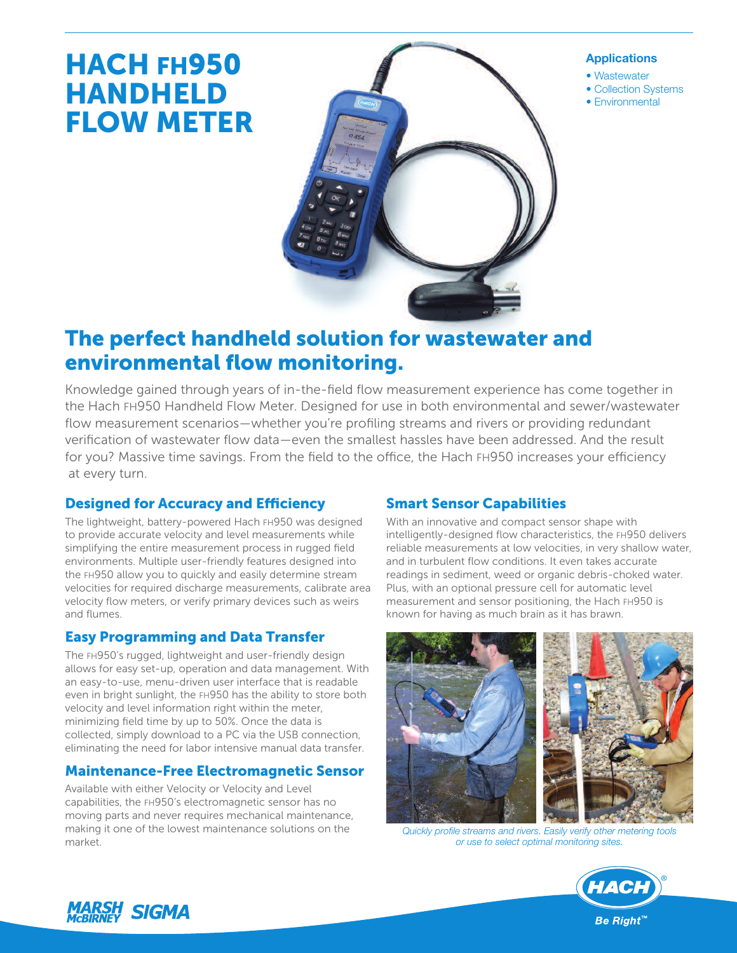# HACH FH950 HANDHELD FLOW METER



#### **Applications**

- Wastewater
- Collection Systems
- Environmental

## The perfect handheld solution for wastewater and environmental flow monitoring.

Knowledge gained through years of in-the-field flow measurement experience has come together in the Hach FH950 Handheld Flow Meter. Designed for use in both environmental and sewer/wastewater flow measurement scenarios—whether you're profiling streams and rivers or providing redundant verification of wastewater flow data—even the smallest hassles have been addressed. And the result for you? Massive time savings. From the field to the office, the Hach FH950 increases your efficiency at every turn.

## **Designed for Accuracy and Efficiency**

The lightweight, battery-powered Hach FH950 was designed to provide accurate velocity and level measurements while simplifying the entire measurement process in rugged field environments. Multiple user-friendly features designed into the FH950 allow you to quickly and easily determine stream velocities for required discharge measurements, calibrate area velocity flow meters, or verify primary devices such as weirs and flumes.

## Easy Programming and Data Transfer

The FH950's rugged, lightweight and user-friendly design allows for easy set-up, operation and data management. With an easy-to-use, menu-driven user interface that is readable even in bright sunlight, the FH950 has the ability to store both velocity and level information right within the meter, minimizing field time by up to 50%. Once the data is collected, simply download to a PC via the USB connection, eliminating the need for labor intensive manual data transfer.

## Maintenance-Free Electromagnetic Sensor

Available with either Velocity or Velocity and Level capabilities, the FH950's electromagnetic sensor has no moving parts and never requires mechanical maintenance, making it one of the lowest maintenance solutions on the market.

## Smart Sensor Capabilities

With an innovative and compact sensor shape with intelligently-designed flow characteristics, the FH950 delivers reliable measurements at low velocities, in very shallow water, and in turbulent flow conditions. It even takes accurate readings in sediment, weed or organic debris-choked water. Plus, with an optional pressure cell for automatic level measurement and sensor positioning, the Hach FH950 is known for having as much brain as it has brawn.



*Quickly profile streams and rivers. Easily verify other metering tools or use to select optimal monitoring sites.*



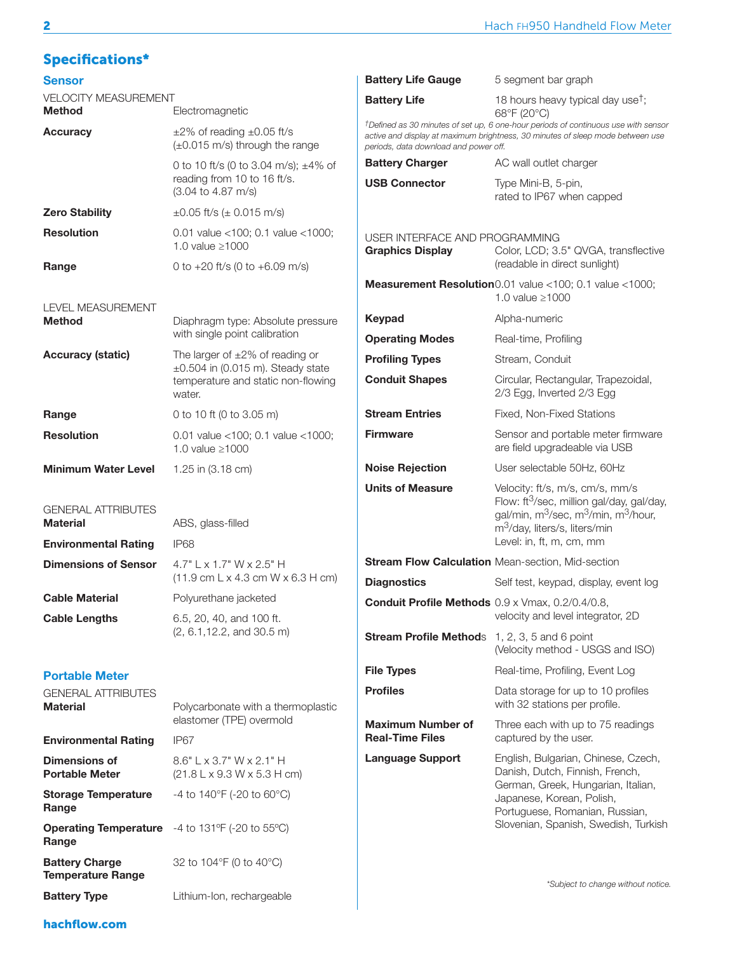## Specifications\*

| <b>Sensor</b>                                                               |                                                                                        | <b>Battery Life Gauge</b><br>5 segment bar graph          |                                                                                                                                                                                                                      |  |  |
|-----------------------------------------------------------------------------|----------------------------------------------------------------------------------------|-----------------------------------------------------------|----------------------------------------------------------------------------------------------------------------------------------------------------------------------------------------------------------------------|--|--|
| <b>VELOCITY MEASUREMENT</b><br><b>Method</b>                                | Electromagnetic                                                                        | <b>Battery Life</b>                                       | 18 hours heavy typical day use <sup>†</sup> ;<br>68°F (20°C)                                                                                                                                                         |  |  |
| <b>Accuracy</b>                                                             | $\pm 2\%$ of reading $\pm 0.05$ ft/s<br>$(\pm 0.015 \text{ m/s})$ through the range    | periods, data download and power off.                     | <sup>†</sup> Defined as 30 minutes of set up, 6 one-hour periods of continuous use with sensor<br>active and display at maximum brightness, 30 minutes of sleep mode between use                                     |  |  |
|                                                                             | 0 to 10 ft/s (0 to 3.04 m/s); $\pm$ 4% of                                              | <b>Battery Charger</b>                                    | AC wall outlet charger                                                                                                                                                                                               |  |  |
|                                                                             | reading from 10 to 16 ft/s.<br>(3.04 to 4.87 m/s)                                      | <b>USB Connector</b>                                      | Type Mini-B, 5-pin,<br>rated to IP67 when capped                                                                                                                                                                     |  |  |
| <b>Zero Stability</b>                                                       | $\pm 0.05$ ft/s ( $\pm$ 0.015 m/s)                                                     |                                                           |                                                                                                                                                                                                                      |  |  |
| <b>Resolution</b>                                                           | 0.01 value <100; 0.1 value <1000;<br>1.0 value $\geq$ 1000                             | USER INTERFACE AND PROGRAMMING<br><b>Graphics Display</b> | Color, LCD; 3.5" QVGA, transflective                                                                                                                                                                                 |  |  |
| Range                                                                       | 0 to $+20$ ft/s (0 to $+6.09$ m/s)                                                     |                                                           | (readable in direct sunlight)                                                                                                                                                                                        |  |  |
| <b>LEVEL MEASUREMENT</b>                                                    |                                                                                        |                                                           | Measurement Resolution 0.01 value <100; 0.1 value <1000;<br>1.0 value $\geq$ 1000                                                                                                                                    |  |  |
| <b>Method</b>                                                               | Diaphragm type: Absolute pressure                                                      | Keypad                                                    | Alpha-numeric                                                                                                                                                                                                        |  |  |
|                                                                             | with single point calibration                                                          | <b>Operating Modes</b>                                    | Real-time, Profiling                                                                                                                                                                                                 |  |  |
| <b>Accuracy (static)</b>                                                    | The larger of $\pm 2\%$ of reading or                                                  | <b>Profiling Types</b>                                    | Stream, Conduit                                                                                                                                                                                                      |  |  |
|                                                                             | $\pm 0.504$ in (0.015 m). Steady state<br>temperature and static non-flowing<br>water. | <b>Conduit Shapes</b>                                     | Circular, Rectangular, Trapezoidal,<br>2/3 Egg, Inverted 2/3 Egg                                                                                                                                                     |  |  |
| Range                                                                       | 0 to 10 ft (0 to 3.05 m)                                                               | <b>Stream Entries</b>                                     | Fixed, Non-Fixed Stations                                                                                                                                                                                            |  |  |
| <b>Resolution</b>                                                           | 0.01 value <100; 0.1 value <1000;<br>1.0 value $\geq$ 1000                             | <b>Firmware</b>                                           | Sensor and portable meter firmware<br>are field upgradeable via USB                                                                                                                                                  |  |  |
| <b>Minimum Water Level</b>                                                  | 1.25 in (3.18 cm)                                                                      | <b>Noise Rejection</b>                                    | User selectable 50Hz, 60Hz                                                                                                                                                                                           |  |  |
| <b>GENERAL ATTRIBUTES</b><br><b>Material</b><br><b>Environmental Rating</b> | ABS, glass-filled<br>IP68                                                              | <b>Units of Measure</b>                                   | Velocity: ft/s, m/s, cm/s, mm/s<br>Flow: ft <sup>3</sup> /sec, million gal/day, gal/day,<br>gal/min, $m^3$ /sec, m $^3$ /min, m $^3$ /hour,<br>m <sup>3</sup> /day, liters/s, liters/min<br>Level: in, ft, m, cm, mm |  |  |
| <b>Dimensions of Sensor</b>                                                 | 4.7" L x 1.7" W x 2.5" H                                                               |                                                           | Stream Flow Calculation Mean-section, Mid-section                                                                                                                                                                    |  |  |
|                                                                             | $(11.9 \text{ cm L} \times 4.3 \text{ cm W} \times 6.3 \text{ H} \text{ cm})$          | <b>Diagnostics</b>                                        | Self test, keypad, display, event log                                                                                                                                                                                |  |  |
| <b>Cable Material</b><br><b>Cable Lengths</b>                               | Polyurethane jacketed<br>6.5, 20, 40, and 100 ft.                                      | Conduit Profile Methods 0.9 x Vmax, 0.2/0.4/0.8,          | velocity and level integrator, 2D                                                                                                                                                                                    |  |  |
|                                                                             | (2, 6.1, 12.2, and 30.5 m)                                                             | <b>Stream Profile Methods</b> 1, 2, 3, 5 and 6 point      | (Velocity method - USGS and ISO)                                                                                                                                                                                     |  |  |
| <b>Portable Meter</b>                                                       |                                                                                        | <b>File Types</b>                                         | Real-time, Profiling, Event Log                                                                                                                                                                                      |  |  |
| <b>GENERAL ATTRIBUTES</b><br><b>Material</b>                                | Polycarbonate with a thermoplastic                                                     | <b>Profiles</b>                                           | Data storage for up to 10 profiles<br>with 32 stations per profile.                                                                                                                                                  |  |  |
|                                                                             | elastomer (TPE) overmold                                                               | <b>Maximum Number of</b>                                  | Three each with up to 75 readings                                                                                                                                                                                    |  |  |
| <b>Environmental Rating</b>                                                 | IP67                                                                                   | <b>Real-Time Files</b>                                    | captured by the user.                                                                                                                                                                                                |  |  |
| <b>Dimensions of</b><br><b>Portable Meter</b>                               | $8.6"$ L x 3.7" W x 2.1" H<br>$(21.8 L \times 9.3 W \times 5.3 H \text{ cm})$          | <b>Language Support</b>                                   | English, Bulgarian, Chinese, Czech,<br>Danish, Dutch, Finnish, French,                                                                                                                                               |  |  |
| <b>Storage Temperature</b><br>Range                                         | -4 to $140^{\circ}$ F (-20 to 60 $^{\circ}$ C)                                         |                                                           | German, Greek, Hungarian, Italian,<br>Japanese, Korean, Polish,<br>Portuguese, Romanian, Russian,                                                                                                                    |  |  |
| <b>Operating Temperature</b><br>Range                                       | -4 to 131°F (-20 to 55°C)                                                              |                                                           | Slovenian, Spanish, Swedish, Turkish                                                                                                                                                                                 |  |  |
| <b>Battery Charge</b><br><b>Temperature Range</b>                           | 32 to 104°F (0 to 40°C)                                                                |                                                           | *Subject to change without notice.                                                                                                                                                                                   |  |  |
| <b>Battery Type</b>                                                         | Lithium-Ion, rechargeable                                                              |                                                           |                                                                                                                                                                                                                      |  |  |

hachflow.com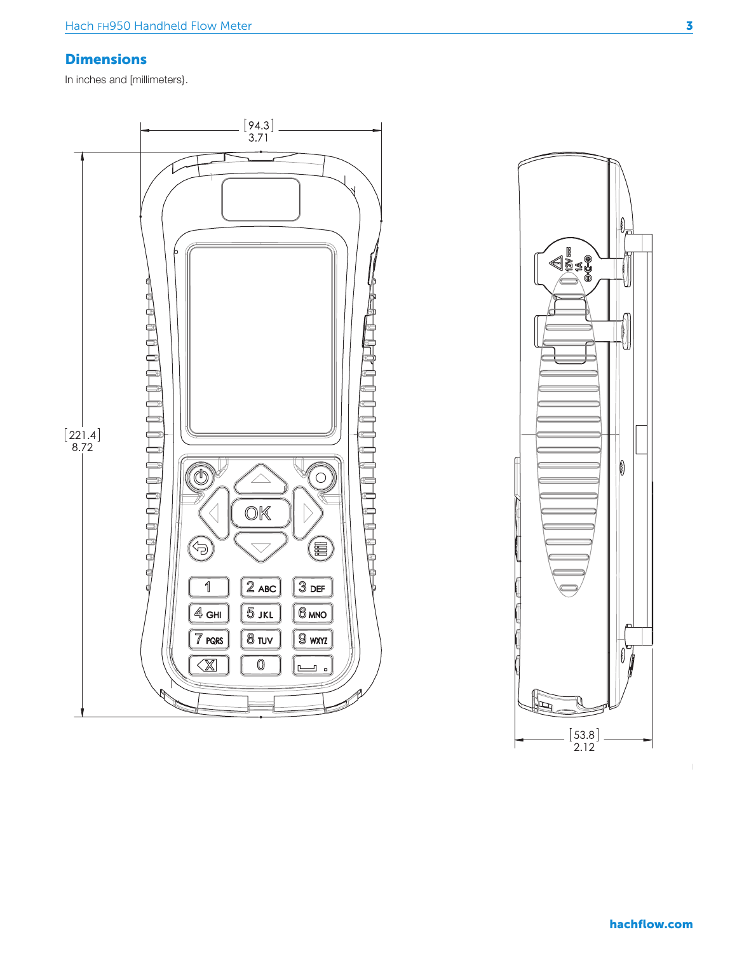#### **Dimensions**

In inches and [millimeters].